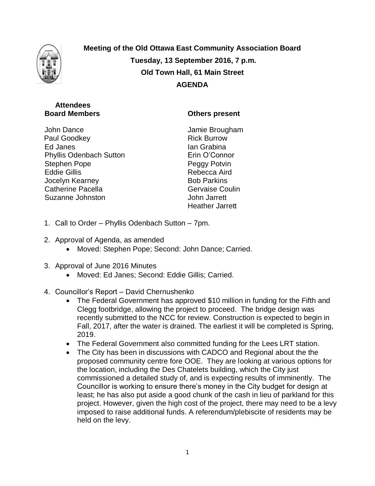

**Meeting of the Old Ottawa East Community Association Board Tuesday, 13 September 2016, 7 p.m. Old Town Hall, 61 Main Street AGENDA**

## **Attendees Board Members**

John Dance Paul Goodkey Ed Janes Phyllis Odenbach Sutton Stephen Pope Eddie Gillis Jocelyn Kearney Catherine Pacella Suzanne Johnston

## **Others present**

Jamie Brougham Rick Burrow Ian Grabina Erin O'Connor Peggy Potvin Rebecca Aird Bob Parkins Gervaise Coulin John Jarrett Heather Jarrett

- 1. Call to Order Phyllis Odenbach Sutton 7pm.
- 2. Approval of Agenda, as amended
	- Moved: Stephen Pope; Second: John Dance; Carried.
- 3. Approval of June 2016 Minutes
	- Moved: Ed Janes; Second: Eddie Gillis; Carried.
- 4. Councillor's Report David Chernushenko
	- The Federal Government has approved \$10 million in funding for the Fifth and Clegg footbridge, allowing the project to proceed. The bridge design was recently submitted to the NCC for review. Construction is expected to begin in Fall, 2017, after the water is drained. The earliest it will be completed is Spring, 2019.
	- The Federal Government also committed funding for the Lees LRT station.
	- The City has been in discussions with CADCO and Regional about the the proposed community centre fore OOE. They are looking at various options for the location, including the Des Chatelets building, which the City just commissioned a detailed study of, and is expecting results of imminently. The Councillor is working to ensure there's money in the City budget for design at least; he has also put aside a good chunk of the cash in lieu of parkland for this project. However, given the high cost of the project, there may need to be a levy imposed to raise additional funds. A referendum/plebiscite of residents may be held on the levy.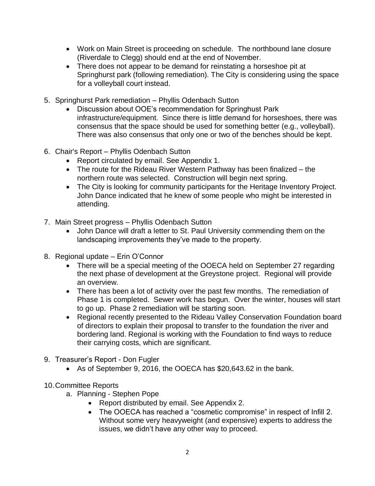- Work on Main Street is proceeding on schedule. The northbound lane closure (Riverdale to Clegg) should end at the end of November.
- There does not appear to be demand for reinstating a horseshoe pit at Springhurst park (following remediation). The City is considering using the space for a volleyball court instead.
- 5. Springhurst Park remediation Phyllis Odenbach Sutton
	- Discussion about OOE's recommendation for Springhust Park infrastructure/equipment. Since there is little demand for horseshoes, there was consensus that the space should be used for something better (e.g., volleyball). There was also consensus that only one or two of the benches should be kept.
- 6. Chair's Report Phyllis Odenbach Sutton
	- Report circulated by email. See Appendix 1.
	- The route for the Rideau River Western Pathway has been finalized the northern route was selected. Construction will begin next spring.
	- The City is looking for community participants for the Heritage Inventory Project. John Dance indicated that he knew of some people who might be interested in attending.
- 7. Main Street progress Phyllis Odenbach Sutton
	- John Dance will draft a letter to St. Paul University commending them on the landscaping improvements they've made to the property.
- 8. Regional update Erin O'Connor
	- There will be a special meeting of the OOECA held on September 27 regarding the next phase of development at the Greystone project. Regional will provide an overview.
	- There has been a lot of activity over the past few months. The remediation of Phase 1 is completed. Sewer work has begun. Over the winter, houses will start to go up. Phase 2 remediation will be starting soon.
	- Regional recently presented to the Rideau Valley Conservation Foundation board of directors to explain their proposal to transfer to the foundation the river and bordering land. Regional is working with the Foundation to find ways to reduce their carrying costs, which are significant.
- 9. Treasurer's Report Don Fugler
	- As of September 9, 2016, the OOECA has \$20,643.62 in the bank.
- 10.Committee Reports
	- a. Planning Stephen Pope
		- Report distributed by email. See Appendix 2.
		- The OOECA has reached a "cosmetic compromise" in respect of Infill 2. Without some very heavyweight (and expensive) experts to address the issues, we didn't have any other way to proceed.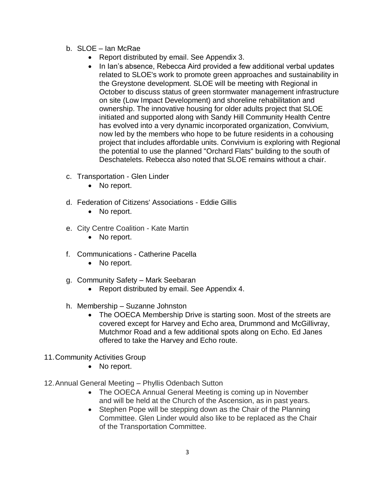- b. SLOE Ian McRae
	- Report distributed by email. See Appendix 3.
	- In Ian's absence, Rebecca Aird provided a few additional verbal updates related to SLOE's work to promote green approaches and sustainability in the Greystone development. SLOE will be meeting with Regional in October to discuss status of green stormwater management infrastructure on site (Low Impact Development) and shoreline rehabilitation and ownership. The innovative housing for older adults project that SLOE initiated and supported along with Sandy Hill Community Health Centre has evolved into a very dynamic incorporated organization, Convivium, now led by the members who hope to be future residents in a cohousing project that includes affordable units. Convivium is exploring with Regional the potential to use the planned "Orchard Flats" building to the south of Deschatelets. Rebecca also noted that SLOE remains without a chair.
- c. Transportation Glen Linder
	- No report.
- d. Federation of Citizens' Associations Eddie Gillis
	- No report.
- e. City Centre Coalition Kate Martin
	- No report.
- f. Communications Catherine Pacella
	- No report.
- g. Community Safety Mark Seebaran
	- Report distributed by email. See Appendix 4.
- h. Membership Suzanne Johnston
	- The OOECA Membership Drive is starting soon. Most of the streets are covered except for Harvey and Echo area, Drummond and McGillivray, Mutchmor Road and a few additional spots along on Echo. Ed Janes offered to take the Harvey and Echo route.
- 11.Community Activities Group
	- No report.
- 12.Annual General Meeting Phyllis Odenbach Sutton
	- The OOECA Annual General Meeting is coming up in November and will be held at the Church of the Ascension, as in past years.
	- Stephen Pope will be stepping down as the Chair of the Planning Committee. Glen Linder would also like to be replaced as the Chair of the Transportation Committee.